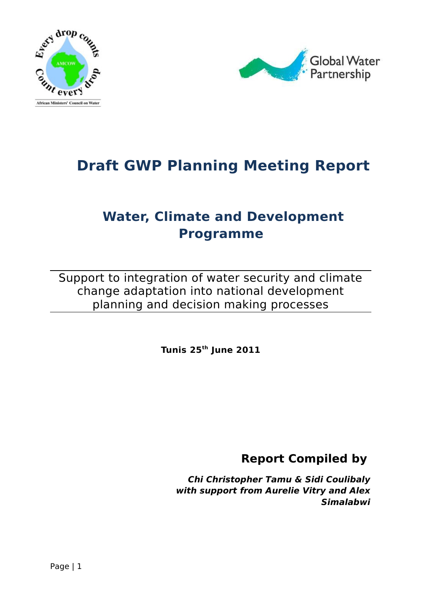



# **Draft GWP Planning Meeting Report**

## **Water, Climate and Development Programme**

Support to integration of water security and climate change adaptation into national development planning and decision making processes

**Tunis 25th June 2011**

**Report Compiled by** 

**Chi Christopher Tamu & Sidi Coulibaly with support from Aurelie Vitry and Alex Simalabwi**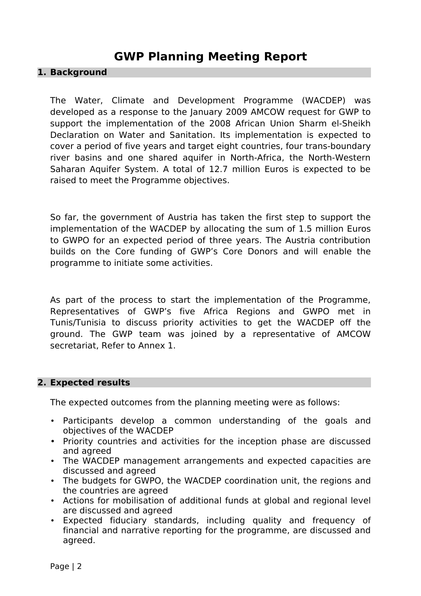## **GWP Planning Meeting Report**

#### **1. Background**

The Water, Climate and Development Programme (WACDEP) was developed as a response to the January 2009 AMCOW request for GWP to support the implementation of the 2008 African Union Sharm el-Sheikh Declaration on Water and Sanitation. Its implementation is expected to cover a period of five years and target eight countries, four trans-boundary river basins and one shared aquifer in North-Africa, the North-Western Saharan Aquifer System. A total of 12.7 million Euros is expected to be raised to meet the Programme objectives.

So far, the government of Austria has taken the first step to support the implementation of the WACDEP by allocating the sum of 1.5 million Euros to GWPO for an expected period of three years. The Austria contribution builds on the Core funding of GWP's Core Donors and will enable the programme to initiate some activities.

As part of the process to start the implementation of the Programme, Representatives of GWP's five Africa Regions and GWPO met in Tunis/Tunisia to discuss priority activities to get the WACDEP off the ground. The GWP team was joined by a representative of AMCOW secretariat, Refer to Annex 1.

#### **2. Expected results**

The expected outcomes from the planning meeting were as follows:

- Participants develop a common understanding of the goals and objectives of the WACDEP
- Priority countries and activities for the inception phase are discussed and agreed
- The WACDEP management arrangements and expected capacities are discussed and agreed
- The budgets for GWPO, the WACDEP coordination unit, the regions and the countries are agreed
- Actions for mobilisation of additional funds at global and regional level are discussed and agreed
- Expected fiduciary standards, including quality and frequency of financial and narrative reporting for the programme, are discussed and agreed.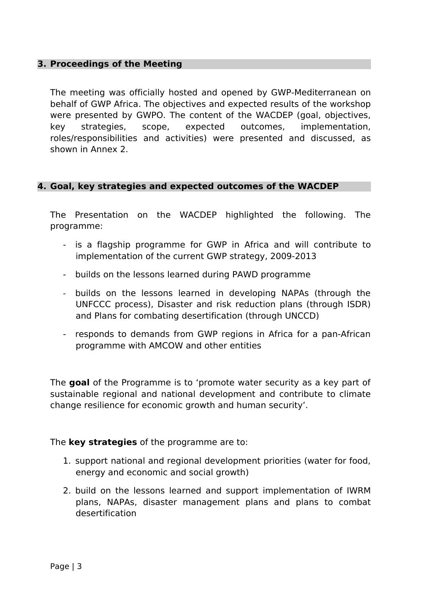#### **3. Proceedings of the Meeting**

The meeting was officially hosted and opened by GWP-Mediterranean on behalf of GWP Africa. The objectives and expected results of the workshop were presented by GWPO. The content of the WACDEP (goal, objectives, key strategies, scope, expected outcomes, implementation, roles/responsibilities and activities) were presented and discussed, as shown in Annex 2.

#### **4. Goal, key strategies and expected outcomes of the WACDEP**

The Presentation on the WACDEP highlighted the following. The programme:

- is a flagship programme for GWP in Africa and will contribute to implementation of the current GWP strategy, 2009-2013
- builds on the lessons learned during PAWD programme
- builds on the lessons learned in developing NAPAs (through the UNFCCC process), Disaster and risk reduction plans (through ISDR) and Plans for combating desertification (through UNCCD)
- responds to demands from GWP regions in Africa for a pan-African programme with AMCOW and other entities

The **goal** of the Programme is to 'promote water security as a key part of sustainable regional and national development and contribute to climate change resilience for economic growth and human security'.

The **key strategies** of the programme are to:

- 1. support national and regional development priorities (water for food, energy and economic and social growth)
- 2. build on the lessons learned and support implementation of IWRM plans, NAPAs, disaster management plans and plans to combat desertification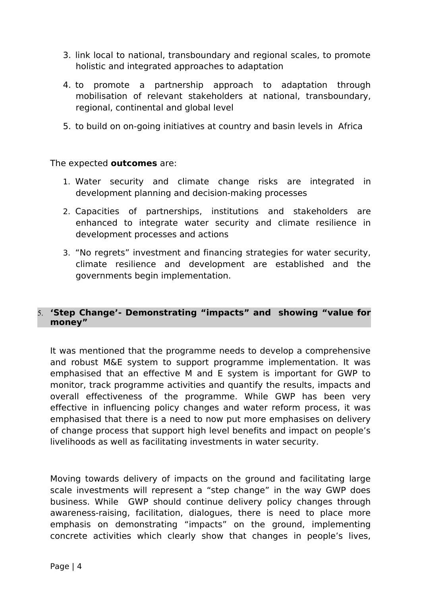- 3. link local to national, transboundary and regional scales, to promote holistic and integrated approaches to adaptation
- 4. to promote a partnership approach to adaptation through mobilisation of relevant stakeholders at national, transboundary, regional, continental and global level
- 5. to build on on-going initiatives at country and basin levels in Africa

#### The expected **outcomes** are:

- 1. Water security and climate change risks are integrated in development planning and decision-making processes
- 2. Capacities of partnerships, institutions and stakeholders are enhanced to integrate water security and climate resilience in development processes and actions
- 3. "No regrets" investment and financing strategies for water security, climate resilience and development are established and the governments begin implementation.

## 5. **'Step Change'- Demonstrating "impacts" and showing "value for money"**

It was mentioned that the programme needs to develop a comprehensive and robust M&E system to support programme implementation. It was emphasised that an effective M and E system is important for GWP to monitor, track programme activities and quantify the results, impacts and overall effectiveness of the programme. While GWP has been very effective in influencing policy changes and water reform process, it was emphasised that there is a need to now put more emphasises on delivery of change process that support high level benefits and impact on people's livelihoods as well as facilitating investments in water security.

Moving towards delivery of impacts on the ground and facilitating large scale investments will represent a "step change" in the way GWP does business. While GWP should continue delivery policy changes through awareness-raising, facilitation, dialogues, there is need to place more emphasis on demonstrating "impacts" on the ground, implementing concrete activities which clearly show that changes in people's lives,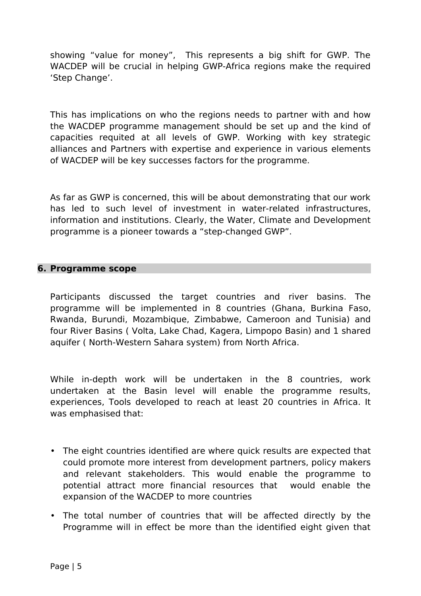showing "value for money", This represents a big shift for GWP. The WACDEP will be crucial in helping GWP-Africa regions make the required 'Step Change'.

This has implications on who the regions needs to partner with and how the WACDEP programme management should be set up and the kind of capacities requited at all levels of GWP. Working with key strategic alliances and Partners with expertise and experience in various elements of WACDEP will be key successes factors for the programme.

As far as GWP is concerned, this will be about demonstrating that our work has led to such level of investment in water-related infrastructures, information and institutions. Clearly, the Water, Climate and Development programme is a pioneer towards a "step-changed GWP".

## **6. Programme scope**

Participants discussed the target countries and river basins. The programme will be implemented in 8 countries (Ghana, Burkina Faso, Rwanda, Burundi, Mozambique, Zimbabwe, Cameroon and Tunisia) and four River Basins ( Volta, Lake Chad, Kagera, Limpopo Basin) and 1 shared aquifer ( North-Western Sahara system) from North Africa.

While in-depth work will be undertaken in the 8 countries, work undertaken at the Basin level will enable the programme results, experiences, Tools developed to reach at least 20 countries in Africa. It was emphasised that:

- The eight countries identified are where quick results are expected that could promote more interest from development partners, policy makers and relevant stakeholders. This would enable the programme to potential attract more financial resources that would enable the expansion of the WACDEP to more countries
- The total number of countries that will be affected directly by the Programme will in effect be more than the identified eight given that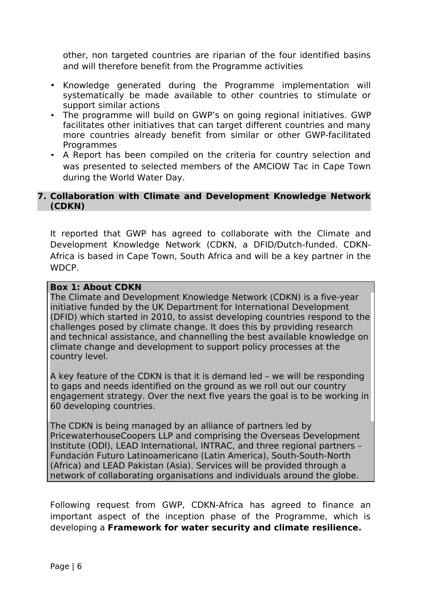other, non targeted countries are riparian of the four identified basins and will therefore benefit from the Programme activities

- Knowledge generated during the Programme implementation will systematically be made available to other countries to stimulate or support similar actions
- The programme will build on GWP's on going regional initiatives. GWP facilitates other initiatives that can target different countries and many more countries already benefit from similar or other GWP-facilitated **Programmes**
- A Report has been compiled on the criteria for country selection and was presented to selected members of the AMCIOW Tac in Cape Town during the World Water Day.

## **7. Collaboration with Climate and Development Knowledge Network (CDKN)**

It reported that GWP has agreed to collaborate with the Climate and Development Knowledge Network (CDKN, a DFID/Dutch-funded. CDKN-Africa is based in Cape Town, South Africa and will be a key partner in the WDCP.

## **Box 1: About CDKN**

The Climate and Development Knowledge Network (CDKN) is a five-year initiative funded by the UK Department for International Development (DFID) which started in 2010, to assist developing countries respond to the challenges posed by climate change. It does this by providing research and technical assistance, and channelling the best available knowledge on climate change and development to support policy processes at the country level.

A key feature of the CDKN is that it is demand led – we will be responding to gaps and needs identified on the ground as we roll out our country engagement strategy. Over the next five years the goal is to be working in 60 developing countries.

The CDKN is being managed by an alliance of partners led by PricewaterhouseCoopers LLP and comprising the Overseas Development Institute (ODI), LEAD International, INTRAC, and three regional partners – Fundación Futuro Latinoamericano (Latin America), South-South-North (Africa) and LEAD Pakistan (Asia). Services will be provided through a network of collaborating organisations and individuals around the globe.

Following request from GWP, CDKN-Africa has agreed to finance an important aspect of the inception phase of the Programme, which is developing a **Framework for water security and climate resilience.**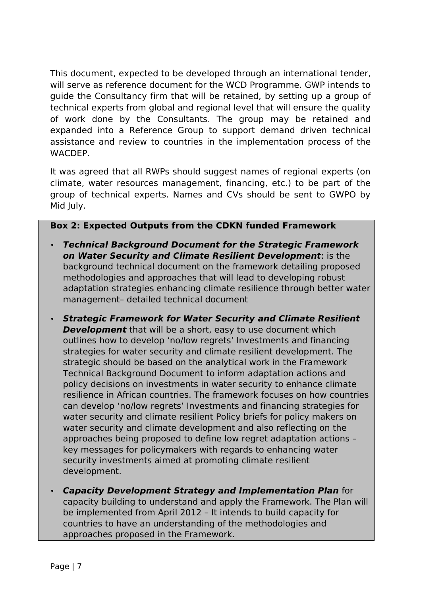This document, expected to be developed through an international tender, will serve as reference document for the WCD Programme. GWP intends to guide the Consultancy firm that will be retained, by setting up a group of technical experts from global and regional level that will ensure the quality of work done by the Consultants. The group may be retained and expanded into a Reference Group to support demand driven technical assistance and review to countries in the implementation process of the **WACDEP** 

It was agreed that all RWPs should suggest names of regional experts (on climate, water resources management, financing, etc.) to be part of the group of technical experts. Names and CVs should be sent to GWPO by Mid July.

## **Box 2: Expected Outputs from the CDKN funded Framework**

- **Technical Background Document for the Strategic Framework on Water Security and Climate Resilient Development**: is the background technical document on the framework detailing proposed methodologies and approaches that will lead to developing robust adaptation strategies enhancing climate resilience through better water management– detailed technical document
- **Strategic Framework for Water Security and Climate Resilient Development** that will be a short, easy to use document which outlines how to develop 'no/low regrets' Investments and financing strategies for water security and climate resilient development. The strategic should be based on the analytical work in the Framework Technical Background Document to inform adaptation actions and policy decisions on investments in water security to enhance climate resilience in African countries. The framework focuses on how countries can develop 'no/low regrets' Investments and financing strategies for water security and climate resilient Policy briefs for policy makers on water security and climate development and also reflecting on the approaches being proposed to define low regret adaptation actions – key messages for policymakers with regards to enhancing water security investments aimed at promoting climate resilient development.
- **Capacity Development Strategy and Implementation Plan** for capacity building to understand and apply the Framework. The Plan will be implemented from April 2012 – It intends to build capacity for countries to have an understanding of the methodologies and approaches proposed in the Framework.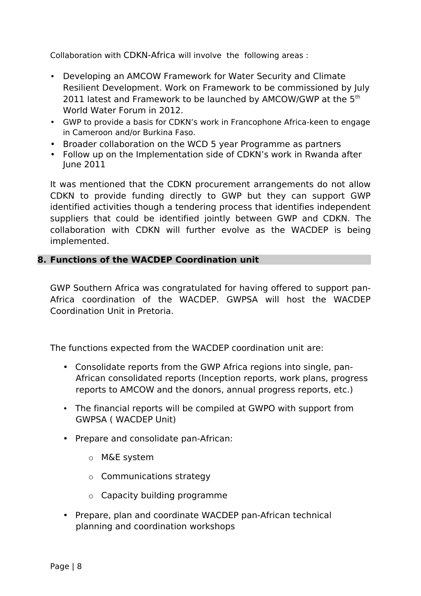Collaboration with CDKN-Africa will involve the following areas :

- Developing an AMCOW Framework for Water Security and Climate Resilient Development. Work on Framework to be commissioned by July 2011 latest and Framework to be launched by AMCOW/GWP at the 5<sup>th</sup> World Water Forum in 2012.
- GWP to provide a basis for CDKN's work in Francophone Africa-keen to engage in Cameroon and/or Burkina Faso.
- Broader collaboration on the WCD 5 year Programme as partners
- Follow up on the Implementation side of CDKN's work in Rwanda after June 2011

It was mentioned that the CDKN procurement arrangements do not allow CDKN to provide funding directly to GWP but they can support GWP identified activities though a tendering process that identifies independent suppliers that could be identified jointly between GWP and CDKN. The collaboration with CDKN will further evolve as the WACDEP is being implemented.

## **8. Functions of the WACDEP Coordination unit**

GWP Southern Africa was congratulated for having offered to support pan-Africa coordination of the WACDEP. GWPSA will host the WACDEP Coordination Unit in Pretoria.

The functions expected from the WACDEP coordination unit are:

- Consolidate reports from the GWP Africa regions into single, pan-African consolidated reports (Inception reports, work plans, progress reports to AMCOW and the donors, annual progress reports, etc.)
- The financial reports will be compiled at GWPO with support from GWPSA ( WACDEP Unit)
- Prepare and consolidate pan-African:
	- o M&E system
	- o Communications strategy
	- o Capacity building programme
- Prepare, plan and coordinate WACDEP pan-African technical planning and coordination workshops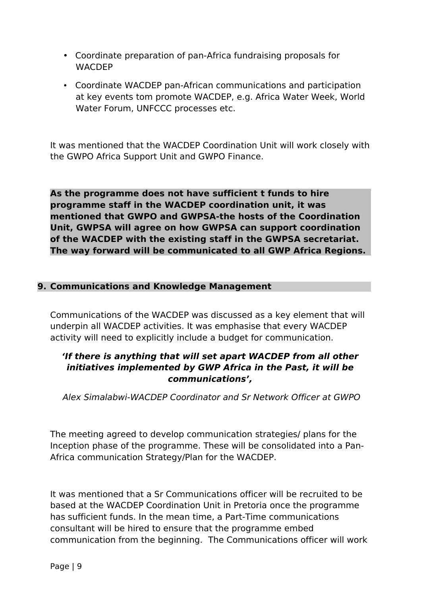- Coordinate preparation of pan-Africa fundraising proposals for WACDEP
- Coordinate WACDEP pan-African communications and participation at key events tom promote WACDEP, e.g. Africa Water Week, World Water Forum, UNFCCC processes etc.

It was mentioned that the WACDEP Coordination Unit will work closely with the GWPO Africa Support Unit and GWPO Finance.

**As the programme does not have sufficient t funds to hire programme staff in the WACDEP coordination unit, it was mentioned that GWPO and GWPSA-the hosts of the Coordination Unit, GWPSA will agree on how GWPSA can support coordination of the WACDEP with the existing staff in the GWPSA secretariat. The way forward will be communicated to all GWP Africa Regions.**

## **9. Communications and Knowledge Management**

Communications of the WACDEP was discussed as a key element that will underpin all WACDEP activities. It was emphasise that every WACDEP activity will need to explicitly include a budget for communication.

## **'If there is anything that will set apart WACDEP from all other initiatives implemented by GWP Africa in the Past, it will be communications',**

Alex Simalabwi-WACDEP Coordinator and Sr Network Officer at GWPO

The meeting agreed to develop communication strategies/ plans for the Inception phase of the programme. These will be consolidated into a Pan-Africa communication Strategy/Plan for the WACDEP.

It was mentioned that a Sr Communications officer will be recruited to be based at the WACDEP Coordination Unit in Pretoria once the programme has sufficient funds. In the mean time, a Part-Time communications consultant will be hired to ensure that the programme embed communication from the beginning. The Communications officer will work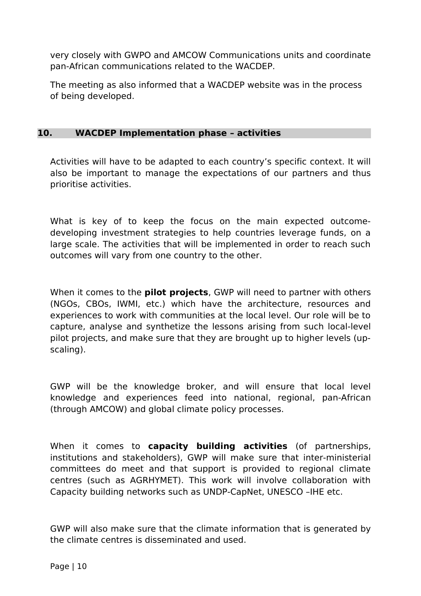very closely with GWPO and AMCOW Communications units and coordinate pan-African communications related to the WACDEP.

The meeting as also informed that a WACDEP website was in the process of being developed.

#### **10. WACDEP Implementation phase – activities**

Activities will have to be adapted to each country's specific context. It will also be important to manage the expectations of our partners and thus prioritise activities.

What is key of to keep the focus on the main expected outcomedeveloping investment strategies to help countries leverage funds, on a large scale. The activities that will be implemented in order to reach such outcomes will vary from one country to the other.

When it comes to the **pilot projects**, GWP will need to partner with others (NGOs, CBOs, IWMI, etc.) which have the architecture, resources and experiences to work with communities at the local level. Our role will be to capture, analyse and synthetize the lessons arising from such local-level pilot projects, and make sure that they are brought up to higher levels (upscaling).

GWP will be the knowledge broker, and will ensure that local level knowledge and experiences feed into national, regional, pan-African (through AMCOW) and global climate policy processes.

When it comes to **capacity building activities** (of partnerships, institutions and stakeholders), GWP will make sure that inter-ministerial committees do meet and that support is provided to regional climate centres (such as AGRHYMET). This work will involve collaboration with Capacity building networks such as UNDP-CapNet, UNESCO –IHE etc.

GWP will also make sure that the climate information that is generated by the climate centres is disseminated and used.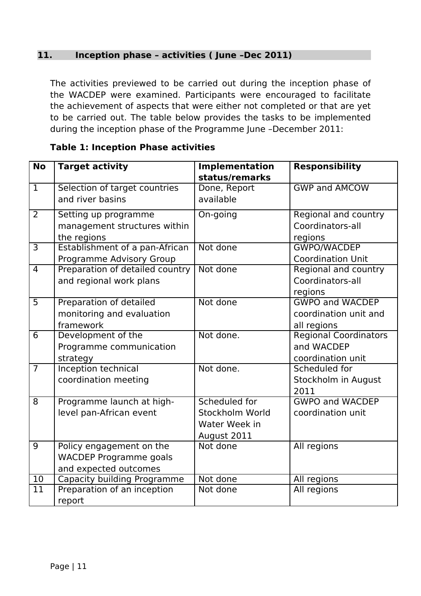## **11. Inception phase – activities ( June –Dec 2011)**

The activities previewed to be carried out during the inception phase of the WACDEP were examined. Participants were encouraged to facilitate the achievement of aspects that were either not completed or that are yet to be carried out. The table below provides the tasks to be implemented during the inception phase of the Programme June –December 2011:

| <b>No</b>       | <b>Target activity</b>          | <b>Implementation</b> | <b>Responsibility</b>        |
|-----------------|---------------------------------|-----------------------|------------------------------|
|                 |                                 | status/remarks        |                              |
| $\overline{1}$  | Selection of target countries   | Done, Report          | <b>GWP and AMCOW</b>         |
|                 | and river basins                | available             |                              |
| $\overline{2}$  | Setting up programme            | On-going              | <b>Regional and country</b>  |
|                 | management structures within    |                       | Coordinators-all             |
|                 | the regions                     |                       | regions                      |
| $\overline{3}$  | Establishment of a pan-African  | Not done              | <b>GWPO/WACDEP</b>           |
|                 | Programme Advisory Group        |                       | <b>Coordination Unit</b>     |
| $\overline{4}$  | Preparation of detailed country | Not done              | Regional and country         |
|                 | and regional work plans         |                       | Coordinators-all             |
|                 |                                 |                       | regions                      |
| $\overline{5}$  | Preparation of detailed         | Not done              | <b>GWPO and WACDEP</b>       |
|                 | monitoring and evaluation       |                       | coordination unit and        |
|                 | framework                       |                       | all regions                  |
| $\overline{6}$  | Development of the              | Not done.             | <b>Regional Coordinators</b> |
|                 | Programme communication         |                       | and WACDEP                   |
|                 | strategy                        |                       | coordination unit            |
| $\overline{7}$  | Inception technical             | Not done.             | Scheduled for                |
|                 | coordination meeting            |                       | Stockholm in August          |
|                 |                                 |                       | 2011                         |
| $\overline{8}$  | Programme launch at high-       | Scheduled for         | <b>GWPO and WACDEP</b>       |
|                 | level pan-African event         | Stockholm World       | coordination unit            |
|                 |                                 | Water Week in         |                              |
|                 |                                 | August 2011           |                              |
| $\overline{9}$  | Policy engagement on the        | Not done              | All regions                  |
|                 | <b>WACDEP Programme goals</b>   |                       |                              |
|                 | and expected outcomes           |                       |                              |
| $\overline{10}$ | Capacity building Programme     | Not done              | All regions                  |
| 11              | Preparation of an inception     | Not done              | All regions                  |
|                 | report                          |                       |                              |

## **Table 1: Inception Phase activities**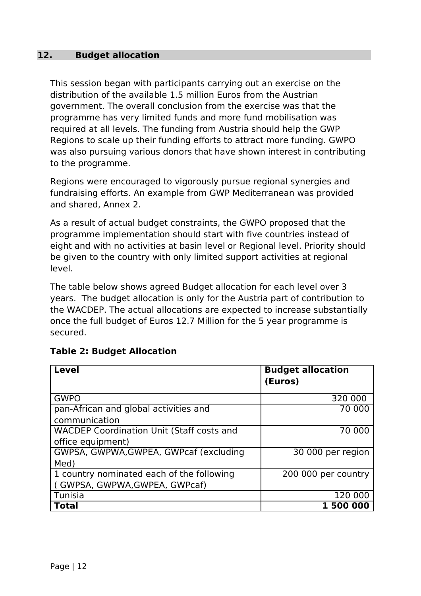## **12. Budget allocation**

This session began with participants carrying out an exercise on the distribution of the available 1.5 million Euros from the Austrian government. The overall conclusion from the exercise was that the programme has very limited funds and more fund mobilisation was required at all levels. The funding from Austria should help the GWP Regions to scale up their funding efforts to attract more funding. GWPO was also pursuing various donors that have shown interest in contributing to the programme.

Regions were encouraged to vigorously pursue regional synergies and fundraising efforts. An example from GWP Mediterranean was provided and shared, Annex 2.

As a result of actual budget constraints, the GWPO proposed that the programme implementation should start with five countries instead of eight and with no activities at basin level or Regional level. Priority should be given to the country with only limited support activities at regional level.

The table below shows agreed Budget allocation for each level over 3 years. The budget allocation is only for the Austria part of contribution to the WACDEP. The actual allocations are expected to increase substantially once the full budget of Euros 12.7 Million for the 5 year programme is secured.

| <b>Level</b>                                     | <b>Budget allocation</b> |
|--------------------------------------------------|--------------------------|
|                                                  | (Euros)                  |
| <b>GWPO</b>                                      | 320 000                  |
| pan-African and global activities and            | 70 000                   |
| communication                                    |                          |
| <b>WACDEP Coordination Unit (Staff costs and</b> | 70 000                   |
| office equipment)                                |                          |
| GWPSA, GWPWA, GWPEA, GWPcaf (excluding           | 30 000 per region        |
| Med)                                             |                          |
| 1 country nominated each of the following        | 200 000 per country      |
| (GWPSA, GWPWA, GWPEA, GWPcaf)                    |                          |
| Tunisia                                          | 120 000                  |
| <b>Total</b>                                     | <b>1500000</b>           |

## **Table 2: Budget Allocation**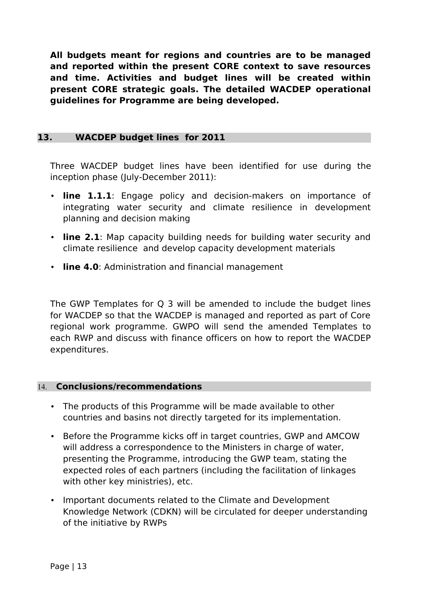**All budgets meant for regions and countries are to be managed and reported within the present CORE context to save resources and time. Activities and budget lines will be created within present CORE strategic goals. The detailed WACDEP operational guidelines for Programme are being developed.**

## **13. WACDEP budget lines for 2011**

Three WACDEP budget lines have been identified for use during the inception phase (July-December 2011):

- **line 1.1.1**: Engage policy and decision-makers on importance of integrating water security and climate resilience in development planning and decision making
- **line 2.1**: Map capacity building needs for building water security and climate resilience and develop capacity development materials
- **line 4.0**: Administration and financial management

The GWP Templates for Q 3 will be amended to include the budget lines for WACDEP so that the WACDEP is managed and reported as part of Core regional work programme. GWPO will send the amended Templates to each RWP and discuss with finance officers on how to report the WACDEP expenditures.

## 14. **Conclusions/recommendations**

- The products of this Programme will be made available to other countries and basins not directly targeted for its implementation.
- Before the Programme kicks off in target countries, GWP and AMCOW will address a correspondence to the Ministers in charge of water, presenting the Programme, introducing the GWP team, stating the expected roles of each partners (including the facilitation of linkages with other key ministries), etc.
- Important documents related to the Climate and Development Knowledge Network (CDKN) will be circulated for deeper understanding of the initiative by RWPs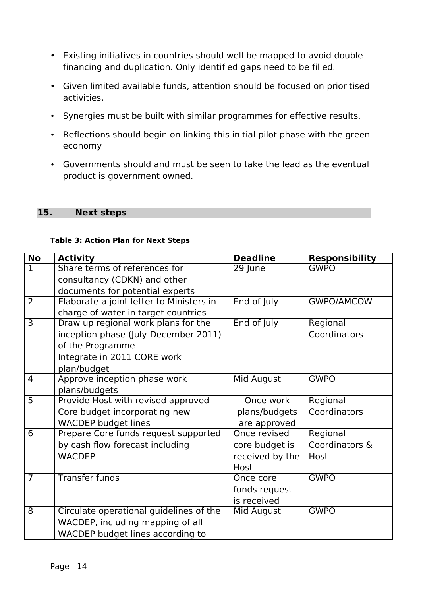- Existing initiatives in countries should well be mapped to avoid double financing and duplication. Only identified gaps need to be filled.
- Given limited available funds, attention should be focused on prioritised activities.
- Synergies must be built with similar programmes for effective results.
- Reflections should begin on linking this initial pilot phase with the green economy
- Governments should and must be seen to take the lead as the eventual product is government owned.

#### **15. Next steps**

#### **Table 3: Action Plan for Next Steps**

| <b>No</b>      | <b>Activity</b>                          | <b>Deadline</b> | <b>Responsibility</b> |
|----------------|------------------------------------------|-----------------|-----------------------|
| $\mathbf{1}$   | Share terms of references for            | 29 June         | <b>GWPO</b>           |
|                | consultancy (CDKN) and other             |                 |                       |
|                | documents for potential experts          |                 |                       |
| $\overline{2}$ | Elaborate a joint letter to Ministers in | End of July     | <b>GWPO/AMCOW</b>     |
|                | charge of water in target countries      |                 |                       |
| $\overline{3}$ | Draw up regional work plans for the      | End of July     | Regional              |
|                | inception phase (July-December 2011)     |                 | Coordinators          |
|                | of the Programme                         |                 |                       |
|                | Integrate in 2011 CORE work              |                 |                       |
|                | plan/budget                              |                 |                       |
| $\overline{4}$ | Approve inception phase work             | Mid August      | <b>GWPO</b>           |
|                | plans/budgets                            |                 |                       |
| $\overline{5}$ | Provide Host with revised approved       | Once work       | Regional              |
|                | Core budget incorporating new            | plans/budgets   | Coordinators          |
|                | <b>WACDEP budget lines</b>               | are approved    |                       |
| 6              | Prepare Core funds request supported     | Once revised    | Regional              |
|                | by cash flow forecast including          | core budget is  | Coordinators &        |
|                | <b>WACDEP</b>                            | received by the | Host                  |
|                |                                          | Host            |                       |
| $\overline{7}$ | <b>Transfer funds</b>                    | Once core       | <b>GWPO</b>           |
|                |                                          | funds request   |                       |
|                |                                          | is received     |                       |
| 8              | Circulate operational guidelines of the  | Mid August      | <b>GWPO</b>           |
|                | WACDEP, including mapping of all         |                 |                       |
|                | WACDEP budget lines according to         |                 |                       |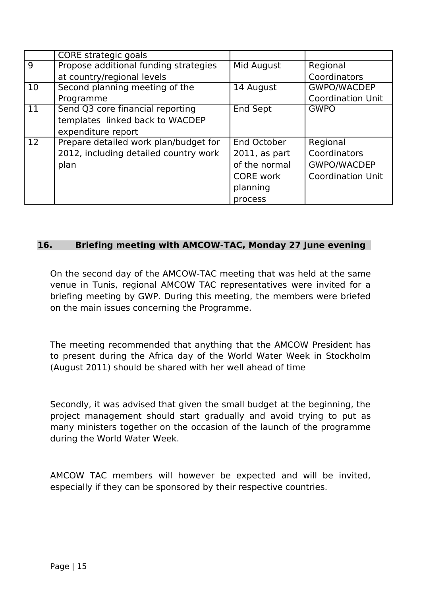|                   | CORE strategic goals                  |                  |                          |
|-------------------|---------------------------------------|------------------|--------------------------|
| 9                 | Propose additional funding strategies | Mid August       | Regional                 |
|                   | at country/regional levels            |                  | Coordinators             |
| 10                | Second planning meeting of the        | 14 August        | <b>GWPO/WACDEP</b>       |
|                   | Programme                             |                  | <b>Coordination Unit</b> |
| 11                | Send Q3 core financial reporting      | <b>End Sept</b>  | <b>GWPO</b>              |
|                   | templates linked back to WACDEP       |                  |                          |
|                   | expenditure report                    |                  |                          |
| $12 \overline{ }$ | Prepare detailed work plan/budget for | End October      | Regional                 |
|                   | 2012, including detailed country work | $2011$ , as part | Coordinators             |
|                   | plan                                  | of the normal    | <b>GWPO/WACDEP</b>       |
|                   |                                       | <b>CORE</b> work | <b>Coordination Unit</b> |
|                   |                                       | planning         |                          |
|                   |                                       | process          |                          |

## **16. Briefing meeting with AMCOW-TAC, Monday 27 June evening**

On the second day of the AMCOW-TAC meeting that was held at the same venue in Tunis, regional AMCOW TAC representatives were invited for a briefing meeting by GWP. During this meeting, the members were briefed on the main issues concerning the Programme.

The meeting recommended that anything that the AMCOW President has to present during the Africa day of the World Water Week in Stockholm (August 2011) should be shared with her well ahead of time

Secondly, it was advised that given the small budget at the beginning, the project management should start gradually and avoid trying to put as many ministers together on the occasion of the launch of the programme during the World Water Week.

AMCOW TAC members will however be expected and will be invited, especially if they can be sponsored by their respective countries.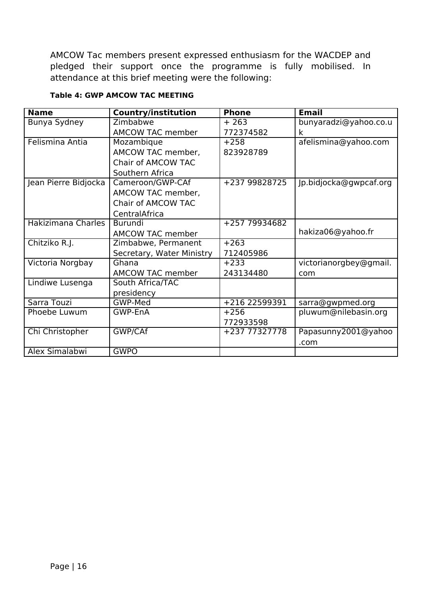AMCOW Tac members present expressed enthusiasm for the WACDEP and pledged their support once the programme is fully mobilised. In attendance at this brief meeting were the following:

| <b>Name</b>          | <b>Country/institution</b> | <b>Phone</b>  | <b>Email</b>           |
|----------------------|----------------------------|---------------|------------------------|
| Bunya Sydney         | Zimbabwe                   | $+263$        | bunyaradzi@yahoo.co.u  |
|                      | <b>AMCOW TAC member</b>    | 772374582     | k                      |
| Felismina Antia      | Mozambique                 | $+258$        | afelismina@yahoo.com   |
|                      | AMCOW TAC member,          | 823928789     |                        |
|                      | Chair of AMCOW TAC         |               |                        |
|                      | Southern Africa            |               |                        |
| Jean Pierre Bidjocka | Cameroon/GWP-CAf           | +237 99828725 | Jp.bidjocka@gwpcaf.org |
|                      | AMCOW TAC member,          |               |                        |
|                      | Chair of AMCOW TAC         |               |                        |
|                      | CentralAfrica              |               |                        |
| Hakizimana Charles   | <b>Burundi</b>             | +257 79934682 |                        |
|                      | <b>AMCOW TAC member</b>    |               | hakiza06@yahoo.fr      |
| Chitziko R.J.        | Zimbabwe, Permanent        | $+263$        |                        |
|                      | Secretary, Water Ministry  | 712405986     |                        |
| Victoria Norgbay     | Ghana                      | $+233$        | victorianorgbey@gmail. |
|                      | <b>AMCOW TAC member</b>    | 243134480     | com                    |
| Lindiwe Lusenga      | South Africa/TAC           |               |                        |
|                      | presidency                 |               |                        |
| Sarra Touzi          | GWP-Med                    | +216 22599391 | sarra@gwpmed.org       |
| Phoebe Luwum         | GWP-EnA                    | $+256$        | pluwum@nilebasin.org   |
|                      |                            | 772933598     |                        |
| Chi Christopher      | GWP/CAf                    | +237 77327778 | Papasunny2001@yahoo    |
|                      |                            |               | .com                   |
| Alex Simalabwi       | <b>GWPO</b>                |               |                        |

#### **Table 4: GWP AMCOW TAC MEETING**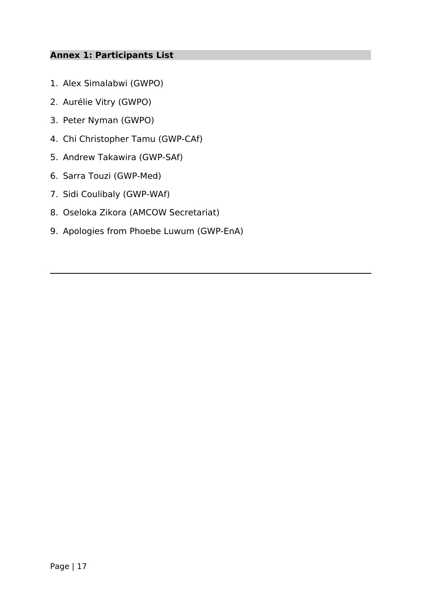## **Annex 1: Participants List**

- 1. Alex Simalabwi (GWPO)
- 2. Aurélie Vitry (GWPO)
- 3. Peter Nyman (GWPO)
- 4. Chi Christopher Tamu (GWP-CAf)
- 5. Andrew Takawira (GWP-SAf)
- 6. Sarra Touzi (GWP-Med)
- 7. Sidi Coulibaly (GWP-WAf)
- 8. Oseloka Zikora (AMCOW Secretariat)
- 9. Apologies from Phoebe Luwum (GWP-EnA)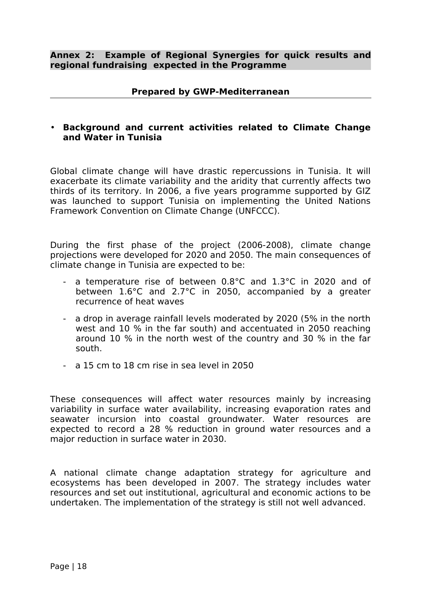#### **Prepared by GWP-Mediterranean**

#### • **Background and current activities related to Climate Change and Water in Tunisia**

Global climate change will have drastic repercussions in Tunisia. It will exacerbate its climate variability and the aridity that currently affects two thirds of its territory. In 2006, a five years programme supported by GIZ was launched to support Tunisia on implementing the United Nations Framework Convention on Climate Change (UNFCCC).

During the first phase of the project (2006-2008), climate change projections were developed for 2020 and 2050. The main consequences of climate change in Tunisia are expected to be:

- a temperature rise of between 0.8°C and 1.3°C in 2020 and of between 1.6°C and 2.7°C in 2050, accompanied by a greater recurrence of heat waves
- a drop in average rainfall levels moderated by 2020 (5% in the north west and 10 % in the far south) and accentuated in 2050 reaching around 10 % in the north west of the country and 30 % in the far south.
- a 15 cm to 18 cm rise in sea level in 2050

These consequences will affect water resources mainly by increasing variability in surface water availability, increasing evaporation rates and seawater incursion into coastal groundwater. Water resources are expected to record a 28 % reduction in ground water resources and a major reduction in surface water in 2030.

A national climate change adaptation strategy for agriculture and ecosystems has been developed in 2007. The strategy includes water resources and set out institutional, agricultural and economic actions to be undertaken. The implementation of the strategy is still not well advanced.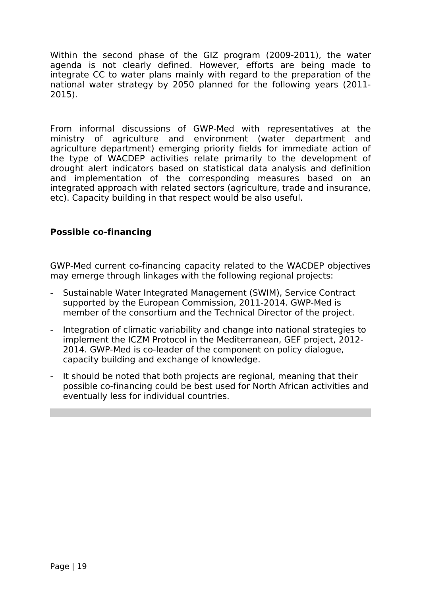Within the second phase of the GIZ program (2009-2011), the water agenda is not clearly defined. However, efforts are being made to integrate CC to water plans mainly with regard to the preparation of the national water strategy by 2050 planned for the following years (2011- 2015).

From informal discussions of GWP-Med with representatives at the ministry of agriculture and environment (water department and agriculture department) emerging priority fields for immediate action of the type of WACDEP activities relate primarily to the development of drought alert indicators based on statistical data analysis and definition and implementation of the corresponding measures based on an integrated approach with related sectors (agriculture, trade and insurance, etc). Capacity building in that respect would be also useful.

## **Possible co-financing**

GWP-Med current co-financing capacity related to the WACDEP objectives may emerge through linkages with the following regional projects:

- Sustainable Water Integrated Management (SWIM), Service Contract supported by the European Commission, 2011-2014. GWP-Med is member of the consortium and the Technical Director of the project.
- Integration of climatic variability and change into national strategies to implement the ICZM Protocol in the Mediterranean, GEF project, 2012- 2014. GWP-Med is co-leader of the component on policy dialogue, capacity building and exchange of knowledge.
- It should be noted that both projects are regional, meaning that their possible co-financing could be best used for North African activities and eventually less for individual countries.